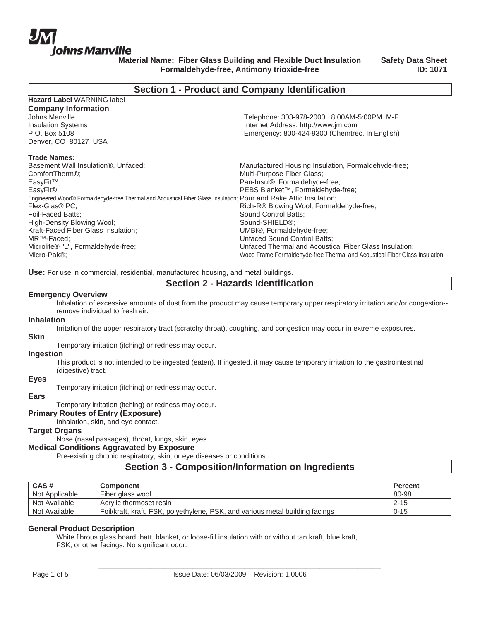

**Safety Data Sheet ID: 1071**

# **Section 1 - Product and Company Identification**

| Telephone: 303-978-2000 8:00AM-5:00PM M-F                                                                         |
|-------------------------------------------------------------------------------------------------------------------|
| Internet Address: http://www.jm.com                                                                               |
| Emergency: 800-424-9300 (Chemtrec, In English)                                                                    |
|                                                                                                                   |
|                                                                                                                   |
|                                                                                                                   |
| Manufactured Housing Insulation, Formaldehyde-free;                                                               |
| Multi-Purpose Fiber Glass;                                                                                        |
| Pan-Insul®, Formaldehyde-free;                                                                                    |
| PEBS Blanket™, Formaldehyde-free;                                                                                 |
| Engineered Wood® Formaldehyde-free Thermal and Acoustical Fiber Glass Insulation; Pour and Rake Attic Insulation; |
| Rich-R® Blowing Wool, Formaldehyde-free;                                                                          |
| Sound Control Batts:                                                                                              |
| Sound-SHIELD®;                                                                                                    |
| UMBI®, Formaldehyde-free;                                                                                         |
| <b>Unfaced Sound Control Batts:</b>                                                                               |
|                                                                                                                   |
| Unfaced Thermal and Acoustical Fiber Glass Insulation;                                                            |
|                                                                                                                   |

**Use:** For use in commercial, residential, manufactured housing, and metal buildings.

## **Section 2 - Hazards Identification**

#### **Emergency Overview**

Inhalation of excessive amounts of dust from the product may cause temporary upper respiratory irritation and/or congestion- remove individual to fresh air.

#### **Inhalation**

Irritation of the upper respiratory tract (scratchy throat), coughing, and congestion may occur in extreme exposures.

#### **Skin**

Temporary irritation (itching) or redness may occur.

#### **Ingestion**

This product is not intended to be ingested (eaten). If ingested, it may cause temporary irritation to the gastrointestinal (digestive) tract.

# **Eyes**

Temporary irritation (itching) or redness may occur.

#### **Ears**

Temporary irritation (itching) or redness may occur.

## **Primary Routes of Entry (Exposure)**

Inhalation, skin, and eye contact.

## **Target Organs**

Nose (nasal passages), throat, lungs, skin, eyes

### **Medical Conditions Aggravated by Exposure**

Pre-existing chronic respiratory, skin, or eye diseases or conditions.

# **Section 3 - Composition/Information on Ingredients**

| CAS#           | <b>Component</b>                                                              | <b>Percent</b> |
|----------------|-------------------------------------------------------------------------------|----------------|
| Not Applicable | Fiber glass wool                                                              | 80-98          |
| Not Available  | Acrylic thermoset resin                                                       | $2 - 15$       |
| Not Available  | Foil/kraft, kraft, FSK, polyethylene, PSK, and various metal building facings | $0 - 15$       |

### **General Product Description**

White fibrous glass board, batt, blanket, or loose-fill insulation with or without tan kraft, blue kraft, FSK, or other facings. No significant odor.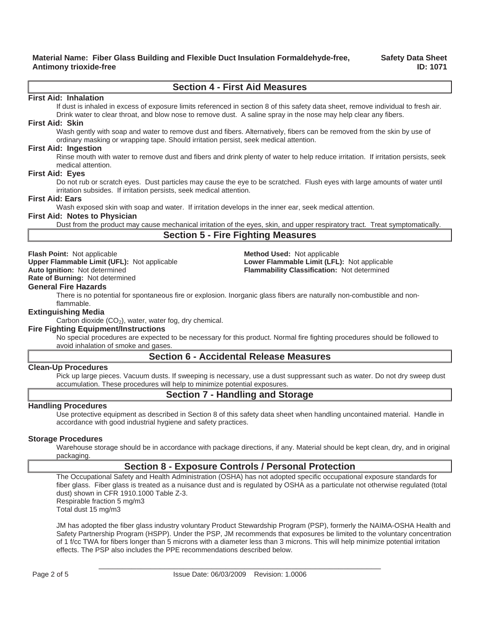**Safety Data Sheet ID: 1071**

# **Section 4 - First Aid Measures**

#### **First Aid: Inhalation**

If dust is inhaled in excess of exposure limits referenced in section 8 of this safety data sheet, remove individual to fresh air. Drink water to clear throat, and blow nose to remove dust. A saline spray in the nose may help clear any fibers.

#### **First Aid: Skin**

Wash gently with soap and water to remove dust and fibers. Alternatively, fibers can be removed from the skin by use of ordinary masking or wrapping tape. Should irritation persist, seek medical attention.

#### **First Aid: Ingestion**

Rinse mouth with water to remove dust and fibers and drink plenty of water to help reduce irritation. If irritation persists, seek medical attention.

#### **First Aid: Eyes**

Do not rub or scratch eyes. Dust particles may cause the eye to be scratched. Flush eyes with large amounts of water until irritation subsides. If irritation persists, seek medical attention.

#### **First Aid: Ears**

Wash exposed skin with soap and water. If irritation develops in the inner ear, seek medical attention.

#### **First Aid: Notes to Physician**

Dust from the product may cause mechanical irritation of the eyes, skin, and upper respiratory tract. Treat symptomatically.

# **Section 5 - Fire Fighting Measures**

**Flash Point:** Not applicable **Method Used:** Not applicable

**Upper Flammable Limit (UFL):** Not applicable **Lower Flammable Limit (LFL):** Not applicable **Auto Ignition:** Not determined **Flammability Classification:** Not determined

**Rate of Burning:** Not determined

#### **General Fire Hazards**

There is no potential for spontaneous fire or explosion. Inorganic glass fibers are naturally non-combustible and nonflammable.

#### **Extinguishing Media**

Carbon dioxide  $(CO<sub>2</sub>)$ , water, water fog, dry chemical.

## **Fire Fighting Equipment/Instructions**

No special procedures are expected to be necessary for this product. Normal fire fighting procedures should be followed to avoid inhalation of smoke and gases.

# **Section 6 - Accidental Release Measures**

## **Clean-Up Procedures**

Pick up large pieces. Vacuum dusts. If sweeping is necessary, use a dust suppressant such as water. Do not dry sweep dust accumulation. These procedures will help to minimize potential exposures.

# **Section 7 - Handling and Storage**

#### **Handling Procedures**

Use protective equipment as described in Section 8 of this safety data sheet when handling uncontained material. Handle in accordance with good industrial hygiene and safety practices.

#### **Storage Procedures**

Warehouse storage should be in accordance with package directions, if any. Material should be kept clean, dry, and in original packaging.

# **Section 8 - Exposure Controls / Personal Protection**

The Occupational Safety and Health Administration (OSHA) has not adopted specific occupational exposure standards for fiber glass. Fiber glass is treated as a nuisance dust and is regulated by OSHA as a particulate not otherwise regulated (total dust) shown in CFR 1910.1000 Table Z-3. Respirable fraction 5 mg/m3 Total dust 15 mg/m3

JM has adopted the fiber glass industry voluntary Product Stewardship Program (PSP), formerly the NAIMA-OSHA Health and Safety Partnership Program (HSPP). Under the PSP, JM recommends that exposures be limited to the voluntary concentration of 1 f/cc TWA for fibers longer than 5 microns with a diameter less than 3 microns. This will help minimize potential irritation effects. The PSP also includes the PPE recommendations described below.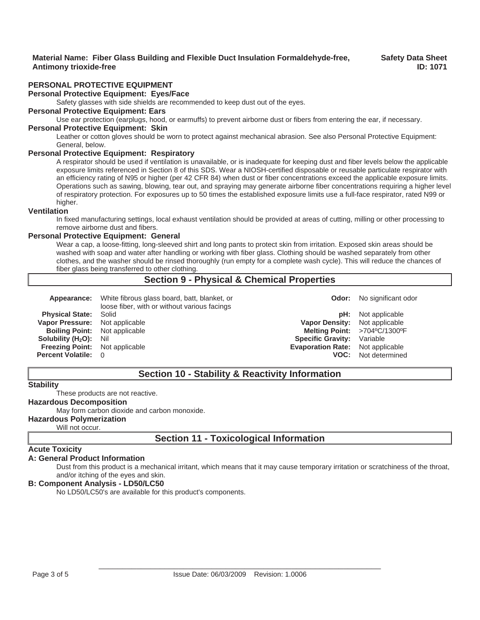## **Safety Data Sheet ID: 1071**

## **PERSONAL PROTECTIVE EQUIPMENT**

## **Personal Protective Equipment: Eyes/Face**

Safety glasses with side shields are recommended to keep dust out of the eyes.

# **Personal Protective Equipment: Ears**

Use ear protection (earplugs, hood, or earmuffs) to prevent airborne dust or fibers from entering the ear, if necessary.

#### **Personal Protective Equipment: Skin**

Leather or cotton gloves should be worn to protect against mechanical abrasion. See also Personal Protective Equipment: General, below.

#### **Personal Protective Equipment: Respiratory**

A respirator should be used if ventilation is unavailable, or is inadequate for keeping dust and fiber levels below the applicable exposure limits referenced in Section 8 of this SDS. Wear a NIOSH-certified disposable or reusable particulate respirator with an efficiency rating of N95 or higher (per 42 CFR 84) when dust or fiber concentrations exceed the applicable exposure limits. Operations such as sawing, blowing, tear out, and spraying may generate airborne fiber concentrations requiring a higher level of respiratory protection. For exposures up to 50 times the established exposure limits use a full-face respirator, rated N99 or higher.

#### **Ventilation**

In fixed manufacturing settings, local exhaust ventilation should be provided at areas of cutting, milling or other processing to remove airborne dust and fibers.

### **Personal Protective Equipment: General**

Wear a cap, a loose-fitting, long-sleeved shirt and long pants to protect skin from irritation. Exposed skin areas should be washed with soap and water after handling or working with fiber glass. Clothing should be washed separately from other clothes, and the washer should be rinsed thoroughly (run empty for a complete wash cycle). This will reduce the chances of fiber glass being transferred to other clothing.

# **Section 9 - Physical & Chemical Properties**

|                                         | <b>Appearance:</b> White fibrous glass board, batt, blanket, or<br>loose fiber, with or without various facings |                                         | <b>Odor:</b> No significant odor |
|-----------------------------------------|-----------------------------------------------------------------------------------------------------------------|-----------------------------------------|----------------------------------|
| <b>Physical State: Solid</b>            |                                                                                                                 |                                         | <b>pH:</b> Not applicable        |
| Vapor Pressure: Not applicable          |                                                                                                                 | <b>Vapor Density:</b> Not applicable    |                                  |
| <b>Boiling Point:</b> Not applicable    |                                                                                                                 |                                         | Melting Point: >704°C/1300°F     |
| <b>Solubility (H<sub>2</sub>O):</b> Nil |                                                                                                                 | <b>Specific Gravity:</b> Variable       |                                  |
| <b>Freezing Point:</b> Not applicable   |                                                                                                                 | <b>Evaporation Rate:</b> Not applicable |                                  |
| <b>Percent Volatile: 0</b>              |                                                                                                                 |                                         | <b>VOC:</b> Not determined       |
|                                         |                                                                                                                 |                                         |                                  |

# **Section 10 - Stability & Reactivity Information**

## **Stability**

These products are not reactive.

## **Hazardous Decomposition**

## May form carbon dioxide and carbon monoxide.

## **Hazardous Polymerization**

Will not occur.

# **Section 11 - Toxicological Information**

# **Acute Toxicity**

#### **A: General Product Information**

Dust from this product is a mechanical irritant, which means that it may cause temporary irritation or scratchiness of the throat, and/or itching of the eyes and skin.

#### **B: Component Analysis - LD50/LC50**

No LD50/LC50's are available for this product's components.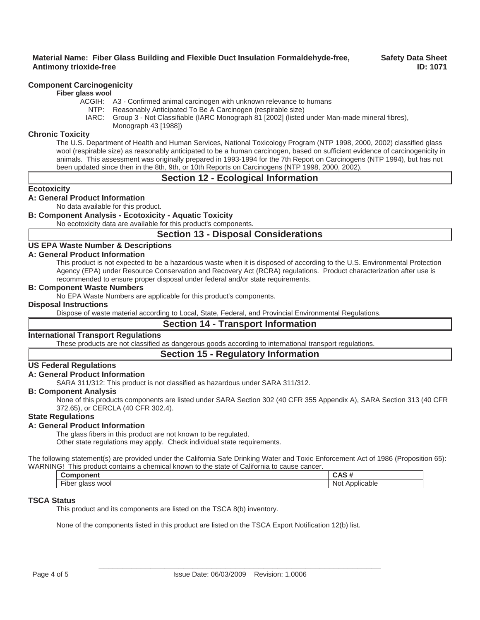## **Component Carcinogenicity**

#### **Fiber glass wool**

- ACGIH: A3 Confirmed animal carcinogen with unknown relevance to humans
	- NTP: Reasonably Anticipated To Be A Carcinogen (respirable size)
	- IARC: Group 3 Not Classifiable (IARC Monograph 81 [2002] (listed under Man-made mineral fibres), Monograph 43 [1988])

## **Chronic Toxicity**

The U.S. Department of Health and Human Services, National Toxicology Program (NTP 1998, 2000, 2002) classified glass wool (respirable size) as reasonably anticipated to be a human carcinogen, based on sufficient evidence of carcinogenicity in animals. This assessment was originally prepared in 1993-1994 for the 7th Report on Carcinogens (NTP 1994), but has not been updated since then in the 8th, 9th, or 10th Reports on Carcinogens (NTP 1998, 2000, 2002).

## **Section 12 - Ecological Information**

## **Ecotoxicity**

## **A: General Product Information**

No data available for this product.

## **B: Component Analysis - Ecotoxicity - Aquatic Toxicity**

No ecotoxicity data are available for this product's components.

# **Section 13 - Disposal Considerations**

### **US EPA Waste Number & Descriptions**

#### **A: General Product Information**

This product is not expected to be a hazardous waste when it is disposed of according to the U.S. Environmental Protection Agency (EPA) under Resource Conservation and Recovery Act (RCRA) regulations. Product characterization after use is recommended to ensure proper disposal under federal and/or state requirements.

### **B: Component Waste Numbers**

No EPA Waste Numbers are applicable for this product's components.

#### **Disposal Instructions**

Dispose of waste material according to Local, State, Federal, and Provincial Environmental Regulations.

# **Section 14 - Transport Information**

## **International Transport Regulations**

These products are not classified as dangerous goods according to international transport regulations.

# **Section 15 - Regulatory Information**

## **US Federal Regulations**

### **A: General Product Information**

SARA 311/312: This product is not classified as hazardous under SARA 311/312.

## **B: Component Analysis**

None of this products components are listed under SARA Section 302 (40 CFR 355 Appendix A), SARA Section 313 (40 CFR 372.65), or CERCLA (40 CFR 302.4).

## **State Regulations**

## **A: General Product Information**

The glass fibers in this product are not known to be regulated.

Other state regulations may apply. Check individual state requirements.

The following statement(s) are provided under the California Safe Drinking Water and Toxic Enforcement Act of 1986 (Proposition 65): WARNING! This product contains a chemical known to the state of California to cause cancer.

| $    -$<br>. .                     |                                 |
|------------------------------------|---------------------------------|
| $-\cdot$<br>wool<br>∙ıber<br>glass | N∩<br>.<br>.<br>'י∩וונ.<br>abit |
|                                    |                                 |

## **TSCA Status**

This product and its components are listed on the TSCA 8(b) inventory.

None of the components listed in this product are listed on the TSCA Export Notification 12(b) list.